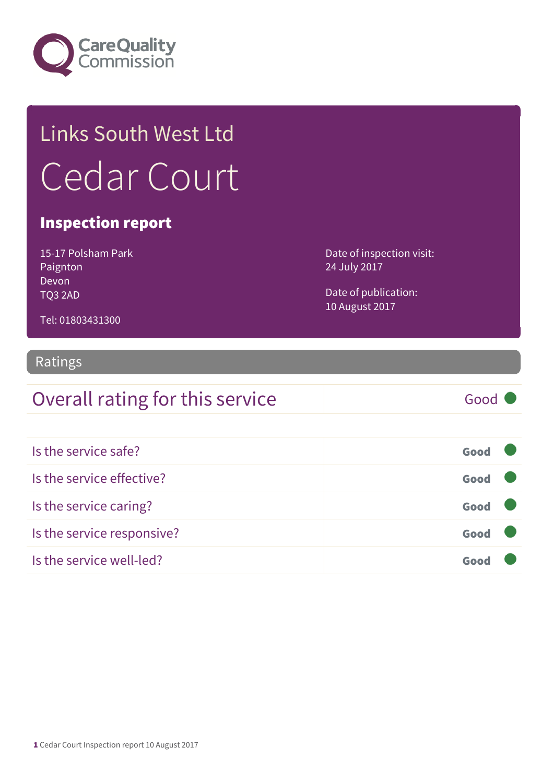

# Links South West Ltd Cedar Court

### Inspection report

15-17 Polsham Park Paignton Devon TQ3 2AD

Date of inspection visit: 24 July 2017

Date of publication: 10 August 2017

Tel: 01803431300

### Ratings

### Overall rating for this service Good

| Is the service safe?       | Good |  |
|----------------------------|------|--|
| Is the service effective?  | Good |  |
| Is the service caring?     | Good |  |
| Is the service responsive? | Good |  |
| Is the service well-led?   | Goo  |  |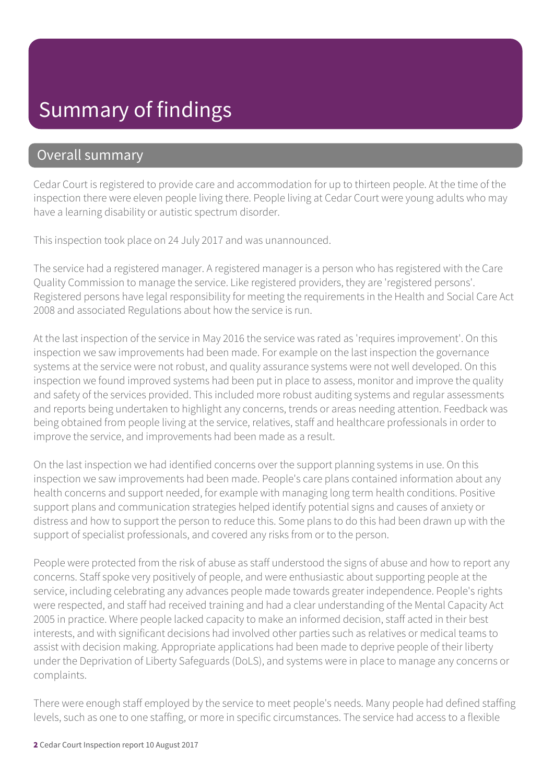### Summary of findings

### Overall summary

Cedar Court is registered to provide care and accommodation for up to thirteen people. At the time of the inspection there were eleven people living there. People living at Cedar Court were young adults who may have a learning disability or autistic spectrum disorder.

This inspection took place on 24 July 2017 and was unannounced.

The service had a registered manager. A registered manager is a person who has registered with the Care Quality Commission to manage the service. Like registered providers, they are 'registered persons'. Registered persons have legal responsibility for meeting the requirements in the Health and Social Care Act 2008 and associated Regulations about how the service is run.

At the last inspection of the service in May 2016 the service was rated as 'requires improvement'. On this inspection we saw improvements had been made. For example on the last inspection the governance systems at the service were not robust, and quality assurance systems were not well developed. On this inspection we found improved systems had been put in place to assess, monitor and improve the quality and safety of the services provided. This included more robust auditing systems and regular assessments and reports being undertaken to highlight any concerns, trends or areas needing attention. Feedback was being obtained from people living at the service, relatives, staff and healthcare professionals in order to improve the service, and improvements had been made as a result.

On the last inspection we had identified concerns over the support planning systems in use. On this inspection we saw improvements had been made. People's care plans contained information about any health concerns and support needed, for example with managing long term health conditions. Positive support plans and communication strategies helped identify potential signs and causes of anxiety or distress and how to support the person to reduce this. Some plans to do this had been drawn up with the support of specialist professionals, and covered any risks from or to the person.

People were protected from the risk of abuse as staff understood the signs of abuse and how to report any concerns. Staff spoke very positively of people, and were enthusiastic about supporting people at the service, including celebrating any advances people made towards greater independence. People's rights were respected, and staff had received training and had a clear understanding of the Mental Capacity Act 2005 in practice. Where people lacked capacity to make an informed decision, staff acted in their best interests, and with significant decisions had involved other parties such as relatives or medical teams to assist with decision making. Appropriate applications had been made to deprive people of their liberty under the Deprivation of Liberty Safeguards (DoLS), and systems were in place to manage any concerns or complaints.

There were enough staff employed by the service to meet people's needs. Many people had defined staffing levels, such as one to one staffing, or more in specific circumstances. The service had access to a flexible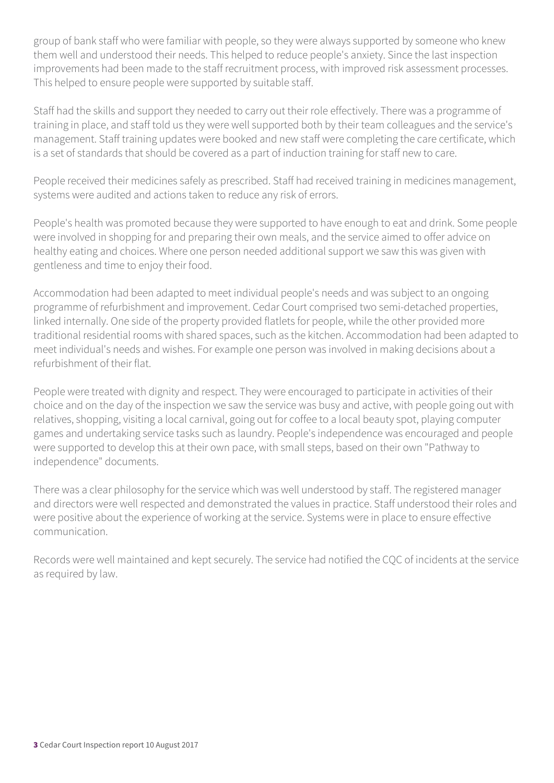group of bank staff who were familiar with people, so they were always supported by someone who knew them well and understood their needs. This helped to reduce people's anxiety. Since the last inspection improvements had been made to the staff recruitment process, with improved risk assessment processes. This helped to ensure people were supported by suitable staff.

Staff had the skills and support they needed to carry out their role effectively. There was a programme of training in place, and staff told us they were well supported both by their team colleagues and the service's management. Staff training updates were booked and new staff were completing the care certificate, which is a set of standards that should be covered as a part of induction training for staff new to care.

People received their medicines safely as prescribed. Staff had received training in medicines management, systems were audited and actions taken to reduce any risk of errors.

People's health was promoted because they were supported to have enough to eat and drink. Some people were involved in shopping for and preparing their own meals, and the service aimed to offer advice on healthy eating and choices. Where one person needed additional support we saw this was given with gentleness and time to enjoy their food.

Accommodation had been adapted to meet individual people's needs and was subject to an ongoing programme of refurbishment and improvement. Cedar Court comprised two semi-detached properties, linked internally. One side of the property provided flatlets for people, while the other provided more traditional residential rooms with shared spaces, such as the kitchen. Accommodation had been adapted to meet individual's needs and wishes. For example one person was involved in making decisions about a refurbishment of their flat.

People were treated with dignity and respect. They were encouraged to participate in activities of their choice and on the day of the inspection we saw the service was busy and active, with people going out with relatives, shopping, visiting a local carnival, going out for coffee to a local beauty spot, playing computer games and undertaking service tasks such as laundry. People's independence was encouraged and people were supported to develop this at their own pace, with small steps, based on their own "Pathway to independence" documents.

There was a clear philosophy for the service which was well understood by staff. The registered manager and directors were well respected and demonstrated the values in practice. Staff understood their roles and were positive about the experience of working at the service. Systems were in place to ensure effective communication.

Records were well maintained and kept securely. The service had notified the CQC of incidents at the service as required by law.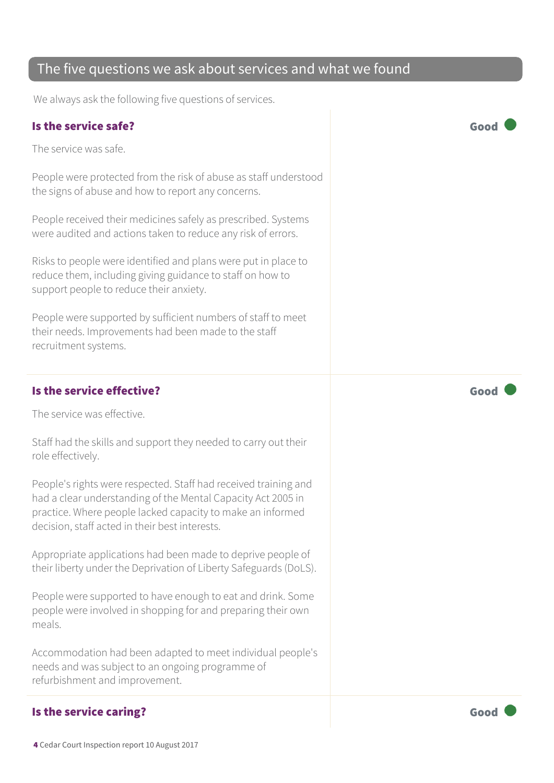#### We always ask the following five questions of services.

The five questions we ask about services and what we found

#### Is the service safe? Good

The service was safe.

People were protected from the risk of abuse as staff understood the signs of abuse and how to report any concerns.

People received their medicines safely as prescribed. Systems were audited and actions taken to reduce any risk of errors.

Risks to people were identified and plans were put in place to reduce them, including giving guidance to staff on how to support people to reduce their anxiety.

People were supported by sufficient numbers of staff to meet their needs. Improvements had been made to the staff recruitment systems.

#### Is the service effective?  $\Box$  Good  $\Box$

The service was effective.

Staff had the skills and support they needed to carry out their role effectively.

People's rights were respected. Staff had received training and had a clear understanding of the Mental Capacity Act 2005 in practice. Where people lacked capacity to make an informed decision, staff acted in their best interests.

Appropriate applications had been made to deprive people of their liberty under the Deprivation of Liberty Safeguards (DoLS).

People were supported to have enough to eat and drink. Some people were involved in shopping for and preparing their own meals.

Accommodation had been adapted to meet individual people's needs and was subject to an ongoing programme of refurbishment and improvement.

#### Is the service caring? The service caring of the service caring  $\sim$  Good

4 Cedar Court Inspection report 10 August 2017

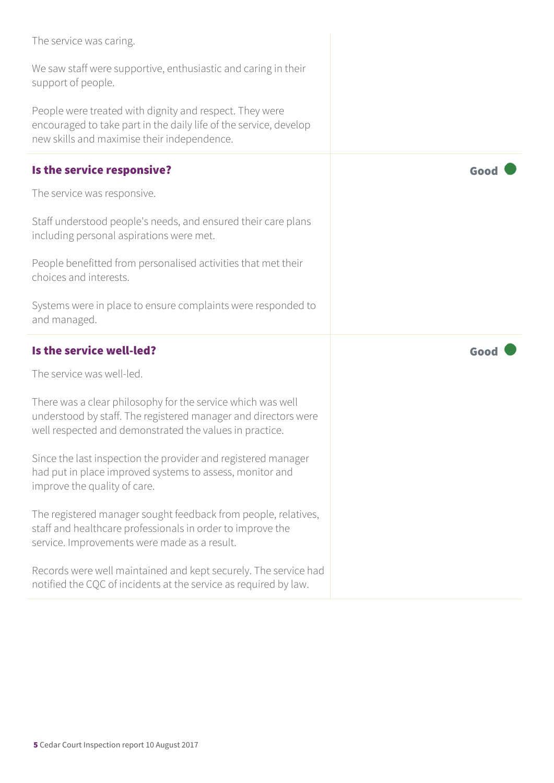| The service was caring.                                                                                                                                                                  |      |
|------------------------------------------------------------------------------------------------------------------------------------------------------------------------------------------|------|
| We saw staff were supportive, enthusiastic and caring in their<br>support of people.                                                                                                     |      |
| People were treated with dignity and respect. They were<br>encouraged to take part in the daily life of the service, develop<br>new skills and maximise their independence.              |      |
| Is the service responsive?                                                                                                                                                               | Good |
| The service was responsive.                                                                                                                                                              |      |
| Staff understood people's needs, and ensured their care plans<br>including personal aspirations were met.                                                                                |      |
| People benefitted from personalised activities that met their<br>choices and interests.                                                                                                  |      |
| Systems were in place to ensure complaints were responded to                                                                                                                             |      |
| and managed.                                                                                                                                                                             |      |
| Is the service well-led?                                                                                                                                                                 | Good |
| The service was well-led.                                                                                                                                                                |      |
| There was a clear philosophy for the service which was well<br>understood by staff. The registered manager and directors were<br>well respected and demonstrated the values in practice. |      |
| Since the last inspection the provider and registered manager<br>had put in place improved systems to assess, monitor and<br>improve the quality of care.                                |      |
| The registered manager sought feedback from people, relatives,<br>staff and healthcare professionals in order to improve the<br>service. Improvements were made as a result.             |      |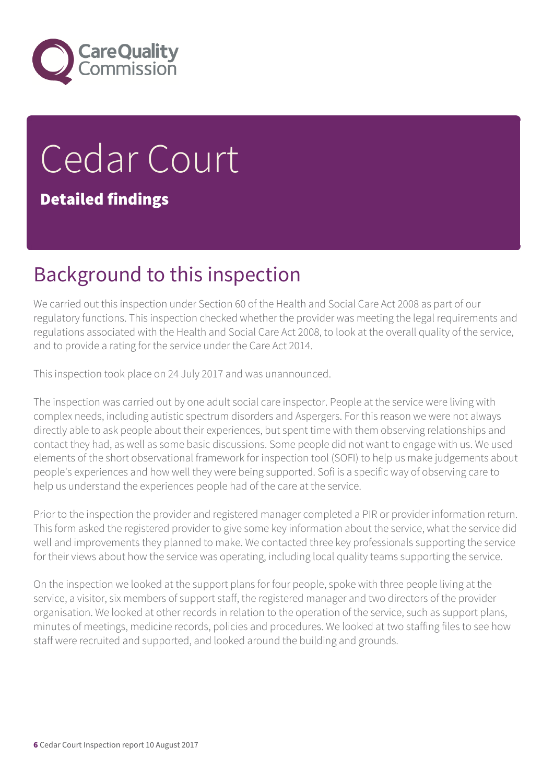

# Cedar Court Detailed findings

### Background to this inspection

We carried out this inspection under Section 60 of the Health and Social Care Act 2008 as part of our regulatory functions. This inspection checked whether the provider was meeting the legal requirements and regulations associated with the Health and Social Care Act 2008, to look at the overall quality of the service, and to provide a rating for the service under the Care Act 2014.

This inspection took place on 24 July 2017 and was unannounced.

The inspection was carried out by one adult social care inspector. People at the service were living with complex needs, including autistic spectrum disorders and Aspergers. For this reason we were not always directly able to ask people about their experiences, but spent time with them observing relationships and contact they had, as well as some basic discussions. Some people did not want to engage with us. We used elements of the short observational framework for inspection tool (SOFI) to help us make judgements about people's experiences and how well they were being supported. Sofi is a specific way of observing care to help us understand the experiences people had of the care at the service.

Prior to the inspection the provider and registered manager completed a PIR or provider information return. This form asked the registered provider to give some key information about the service, what the service did well and improvements they planned to make. We contacted three key professionals supporting the service for their views about how the service was operating, including local quality teams supporting the service.

On the inspection we looked at the support plans for four people, spoke with three people living at the service, a visitor, six members of support staff, the registered manager and two directors of the provider organisation. We looked at other records in relation to the operation of the service, such as support plans, minutes of meetings, medicine records, policies and procedures. We looked at two staffing files to see how staff were recruited and supported, and looked around the building and grounds.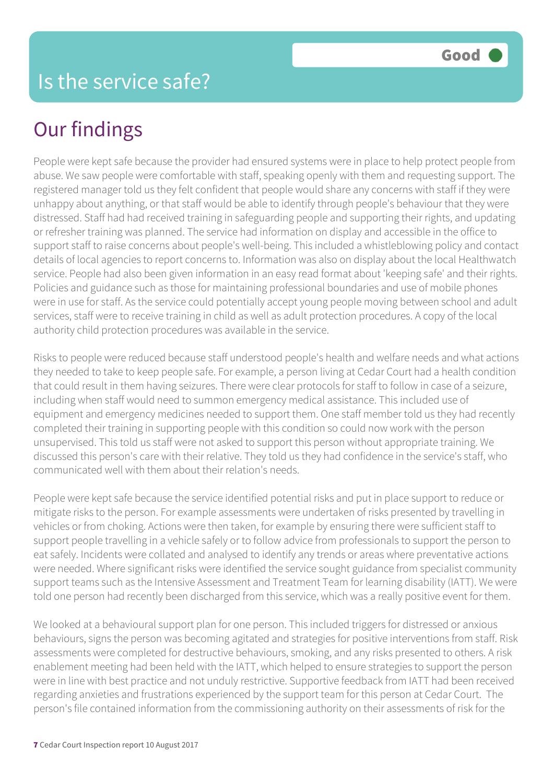People were kept safe because the provider had ensured systems were in place to help protect people from abuse. We saw people were comfortable with staff, speaking openly with them and requesting support. The registered manager told us they felt confident that people would share any concerns with staff if they were unhappy about anything, or that staff would be able to identify through people's behaviour that they were distressed. Staff had had received training in safeguarding people and supporting their rights, and updating or refresher training was planned. The service had information on display and accessible in the office to support staff to raise concerns about people's well-being. This included a whistleblowing policy and contact details of local agencies to report concerns to. Information was also on display about the local Healthwatch service. People had also been given information in an easy read format about 'keeping safe' and their rights. Policies and guidance such as those for maintaining professional boundaries and use of mobile phones were in use for staff. As the service could potentially accept young people moving between school and adult services, staff were to receive training in child as well as adult protection procedures. A copy of the local authority child protection procedures was available in the service.

Risks to people were reduced because staff understood people's health and welfare needs and what actions they needed to take to keep people safe. For example, a person living at Cedar Court had a health condition that could result in them having seizures. There were clear protocols for staff to follow in case of a seizure, including when staff would need to summon emergency medical assistance. This included use of equipment and emergency medicines needed to support them. One staff member told us they had recently completed their training in supporting people with this condition so could now work with the person unsupervised. This told us staff were not asked to support this person without appropriate training. We discussed this person's care with their relative. They told us they had confidence in the service's staff, who communicated well with them about their relation's needs.

People were kept safe because the service identified potential risks and put in place support to reduce or mitigate risks to the person. For example assessments were undertaken of risks presented by travelling in vehicles or from choking. Actions were then taken, for example by ensuring there were sufficient staff to support people travelling in a vehicle safely or to follow advice from professionals to support the person to eat safely. Incidents were collated and analysed to identify any trends or areas where preventative actions were needed. Where significant risks were identified the service sought guidance from specialist community support teams such as the Intensive Assessment and Treatment Team for learning disability (IATT). We were told one person had recently been discharged from this service, which was a really positive event for them.

We looked at a behavioural support plan for one person. This included triggers for distressed or anxious behaviours, signs the person was becoming agitated and strategies for positive interventions from staff. Risk assessments were completed for destructive behaviours, smoking, and any risks presented to others. A risk enablement meeting had been held with the IATT, which helped to ensure strategies to support the person were in line with best practice and not unduly restrictive. Supportive feedback from IATT had been received regarding anxieties and frustrations experienced by the support team for this person at Cedar Court. The person's file contained information from the commissioning authority on their assessments of risk for the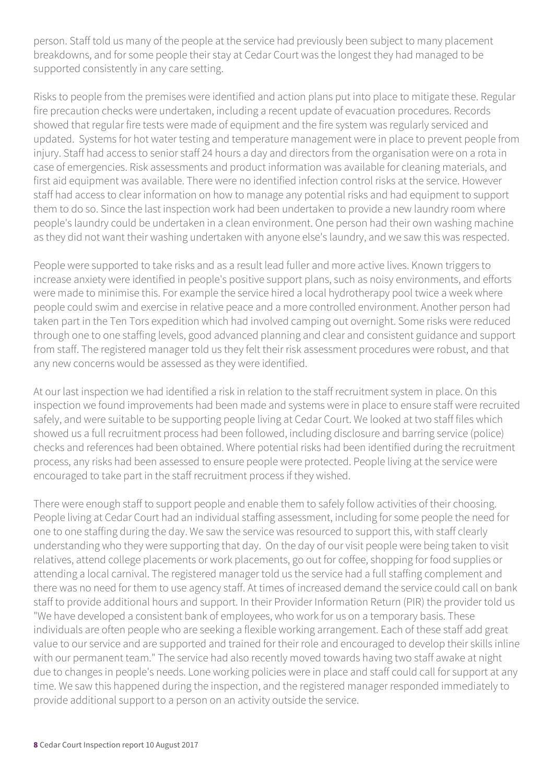person. Staff told us many of the people at the service had previously been subject to many placement breakdowns, and for some people their stay at Cedar Court was the longest they had managed to be supported consistently in any care setting.

Risks to people from the premises were identified and action plans put into place to mitigate these. Regular fire precaution checks were undertaken, including a recent update of evacuation procedures. Records showed that regular fire tests were made of equipment and the fire system was regularly serviced and updated. Systems for hot water testing and temperature management were in place to prevent people from injury. Staff had access to senior staff 24 hours a day and directors from the organisation were on a rota in case of emergencies. Risk assessments and product information was available for cleaning materials, and first aid equipment was available. There were no identified infection control risks at the service. However staff had access to clear information on how to manage any potential risks and had equipment to support them to do so. Since the last inspection work had been undertaken to provide a new laundry room where people's laundry could be undertaken in a clean environment. One person had their own washing machine as they did not want their washing undertaken with anyone else's laundry, and we saw this was respected.

People were supported to take risks and as a result lead fuller and more active lives. Known triggers to increase anxiety were identified in people's positive support plans, such as noisy environments, and efforts were made to minimise this. For example the service hired a local hydrotherapy pool twice a week where people could swim and exercise in relative peace and a more controlled environment. Another person had taken part in the Ten Tors expedition which had involved camping out overnight. Some risks were reduced through one to one staffing levels, good advanced planning and clear and consistent guidance and support from staff. The registered manager told us they felt their risk assessment procedures were robust, and that any new concerns would be assessed as they were identified.

At our last inspection we had identified a risk in relation to the staff recruitment system in place. On this inspection we found improvements had been made and systems were in place to ensure staff were recruited safely, and were suitable to be supporting people living at Cedar Court. We looked at two staff files which showed us a full recruitment process had been followed, including disclosure and barring service (police) checks and references had been obtained. Where potential risks had been identified during the recruitment process, any risks had been assessed to ensure people were protected. People living at the service were encouraged to take part in the staff recruitment process if they wished.

There were enough staff to support people and enable them to safely follow activities of their choosing. People living at Cedar Court had an individual staffing assessment, including for some people the need for one to one staffing during the day. We saw the service was resourced to support this, with staff clearly understanding who they were supporting that day. On the day of our visit people were being taken to visit relatives, attend college placements or work placements, go out for coffee, shopping for food supplies or attending a local carnival. The registered manager told us the service had a full staffing complement and there was no need for them to use agency staff. At times of increased demand the service could call on bank staff to provide additional hours and support. In their Provider Information Return (PIR) the provider told us "We have developed a consistent bank of employees, who work for us on a temporary basis. These individuals are often people who are seeking a flexible working arrangement. Each of these staff add great value to our service and are supported and trained for their role and encouraged to develop their skills inline with our permanent team." The service had also recently moved towards having two staff awake at night due to changes in people's needs. Lone working policies were in place and staff could call for support at any time. We saw this happened during the inspection, and the registered manager responded immediately to provide additional support to a person on an activity outside the service.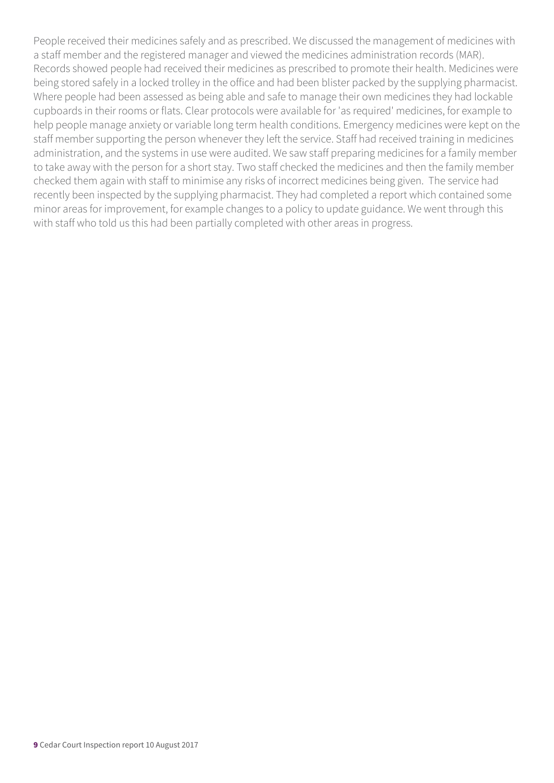People received their medicines safely and as prescribed. We discussed the management of medicines with a staff member and the registered manager and viewed the medicines administration records (MAR). Records showed people had received their medicines as prescribed to promote their health. Medicines were being stored safely in a locked trolley in the office and had been blister packed by the supplying pharmacist. Where people had been assessed as being able and safe to manage their own medicines they had lockable cupboards in their rooms or flats. Clear protocols were available for 'as required' medicines, for example to help people manage anxiety or variable long term health conditions. Emergency medicines were kept on the staff member supporting the person whenever they left the service. Staff had received training in medicines administration, and the systems in use were audited. We saw staff preparing medicines for a family member to take away with the person for a short stay. Two staff checked the medicines and then the family member checked them again with staff to minimise any risks of incorrect medicines being given. The service had recently been inspected by the supplying pharmacist. They had completed a report which contained some minor areas for improvement, for example changes to a policy to update guidance. We went through this with staff who told us this had been partially completed with other areas in progress.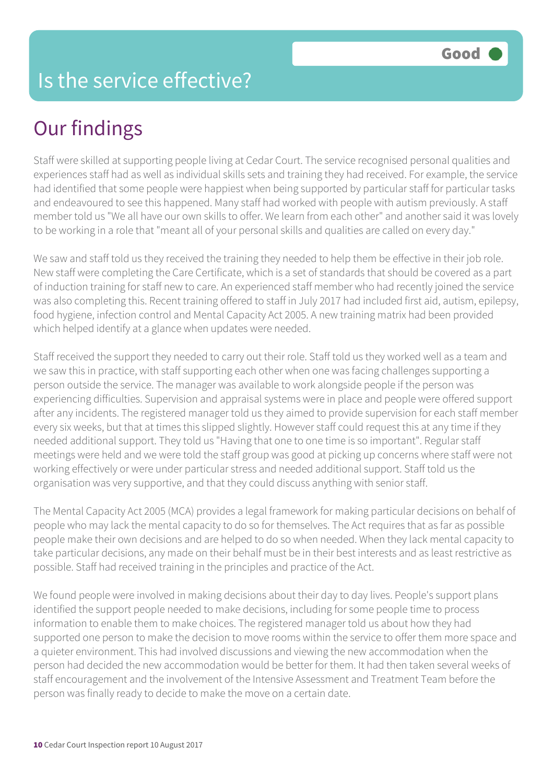Staff were skilled at supporting people living at Cedar Court. The service recognised personal qualities and experiences staff had as well as individual skills sets and training they had received. For example, the service had identified that some people were happiest when being supported by particular staff for particular tasks and endeavoured to see this happened. Many staff had worked with people with autism previously. A staff member told us "We all have our own skills to offer. We learn from each other" and another said it was lovely to be working in a role that "meant all of your personal skills and qualities are called on every day."

We saw and staff told us they received the training they needed to help them be effective in their job role. New staff were completing the Care Certificate, which is a set of standards that should be covered as a part of induction training for staff new to care. An experienced staff member who had recently joined the service was also completing this. Recent training offered to staff in July 2017 had included first aid, autism, epilepsy, food hygiene, infection control and Mental Capacity Act 2005. A new training matrix had been provided which helped identify at a glance when updates were needed.

Staff received the support they needed to carry out their role. Staff told us they worked well as a team and we saw this in practice, with staff supporting each other when one was facing challenges supporting a person outside the service. The manager was available to work alongside people if the person was experiencing difficulties. Supervision and appraisal systems were in place and people were offered support after any incidents. The registered manager told us they aimed to provide supervision for each staff member every six weeks, but that at times this slipped slightly. However staff could request this at any time if they needed additional support. They told us "Having that one to one time is so important". Regular staff meetings were held and we were told the staff group was good at picking up concerns where staff were not working effectively or were under particular stress and needed additional support. Staff told us the organisation was very supportive, and that they could discuss anything with senior staff.

The Mental Capacity Act 2005 (MCA) provides a legal framework for making particular decisions on behalf of people who may lack the mental capacity to do so for themselves. The Act requires that as far as possible people make their own decisions and are helped to do so when needed. When they lack mental capacity to take particular decisions, any made on their behalf must be in their best interests and as least restrictive as possible. Staff had received training in the principles and practice of the Act.

We found people were involved in making decisions about their day to day lives. People's support plans identified the support people needed to make decisions, including for some people time to process information to enable them to make choices. The registered manager told us about how they had supported one person to make the decision to move rooms within the service to offer them more space and a quieter environment. This had involved discussions and viewing the new accommodation when the person had decided the new accommodation would be better for them. It had then taken several weeks of staff encouragement and the involvement of the Intensive Assessment and Treatment Team before the person was finally ready to decide to make the move on a certain date.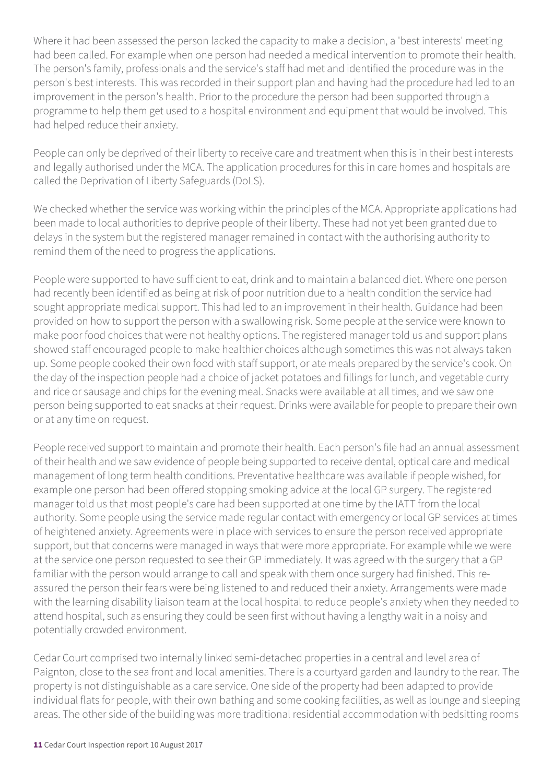Where it had been assessed the person lacked the capacity to make a decision, a 'best interests' meeting had been called. For example when one person had needed a medical intervention to promote their health. The person's family, professionals and the service's staff had met and identified the procedure was in the person's best interests. This was recorded in their support plan and having had the procedure had led to an improvement in the person's health. Prior to the procedure the person had been supported through a programme to help them get used to a hospital environment and equipment that would be involved. This had helped reduce their anxiety.

People can only be deprived of their liberty to receive care and treatment when this is in their best interests and legally authorised under the MCA. The application procedures for this in care homes and hospitals are called the Deprivation of Liberty Safeguards (DoLS).

We checked whether the service was working within the principles of the MCA. Appropriate applications had been made to local authorities to deprive people of their liberty. These had not yet been granted due to delays in the system but the registered manager remained in contact with the authorising authority to remind them of the need to progress the applications.

People were supported to have sufficient to eat, drink and to maintain a balanced diet. Where one person had recently been identified as being at risk of poor nutrition due to a health condition the service had sought appropriate medical support. This had led to an improvement in their health. Guidance had been provided on how to support the person with a swallowing risk. Some people at the service were known to make poor food choices that were not healthy options. The registered manager told us and support plans showed staff encouraged people to make healthier choices although sometimes this was not always taken up. Some people cooked their own food with staff support, or ate meals prepared by the service's cook. On the day of the inspection people had a choice of jacket potatoes and fillings for lunch, and vegetable curry and rice or sausage and chips for the evening meal. Snacks were available at all times, and we saw one person being supported to eat snacks at their request. Drinks were available for people to prepare their own or at any time on request.

People received support to maintain and promote their health. Each person's file had an annual assessment of their health and we saw evidence of people being supported to receive dental, optical care and medical management of long term health conditions. Preventative healthcare was available if people wished, for example one person had been offered stopping smoking advice at the local GP surgery. The registered manager told us that most people's care had been supported at one time by the IATT from the local authority. Some people using the service made regular contact with emergency or local GP services at times of heightened anxiety. Agreements were in place with services to ensure the person received appropriate support, but that concerns were managed in ways that were more appropriate. For example while we were at the service one person requested to see their GP immediately. It was agreed with the surgery that a GP familiar with the person would arrange to call and speak with them once surgery had finished. This reassured the person their fears were being listened to and reduced their anxiety. Arrangements were made with the learning disability liaison team at the local hospital to reduce people's anxiety when they needed to attend hospital, such as ensuring they could be seen first without having a lengthy wait in a noisy and potentially crowded environment.

Cedar Court comprised two internally linked semi-detached properties in a central and level area of Paignton, close to the sea front and local amenities. There is a courtyard garden and laundry to the rear. The property is not distinguishable as a care service. One side of the property had been adapted to provide individual flats for people, with their own bathing and some cooking facilities, as well as lounge and sleeping areas. The other side of the building was more traditional residential accommodation with bedsitting rooms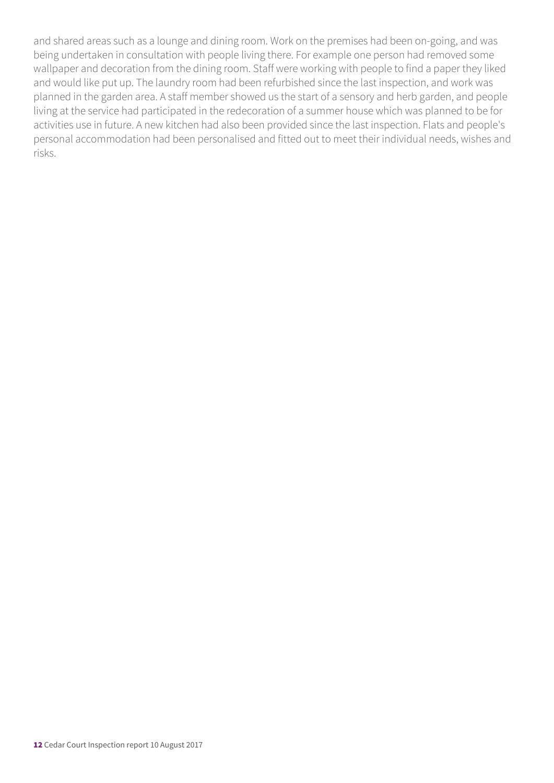and shared areas such as a lounge and dining room. Work on the premises had been on-going, and was being undertaken in consultation with people living there. For example one person had removed some wallpaper and decoration from the dining room. Staff were working with people to find a paper they liked and would like put up. The laundry room had been refurbished since the last inspection, and work was planned in the garden area. A staff member showed us the start of a sensory and herb garden, and people living at the service had participated in the redecoration of a summer house which was planned to be for activities use in future. A new kitchen had also been provided since the last inspection. Flats and people's personal accommodation had been personalised and fitted out to meet their individual needs, wishes and risks.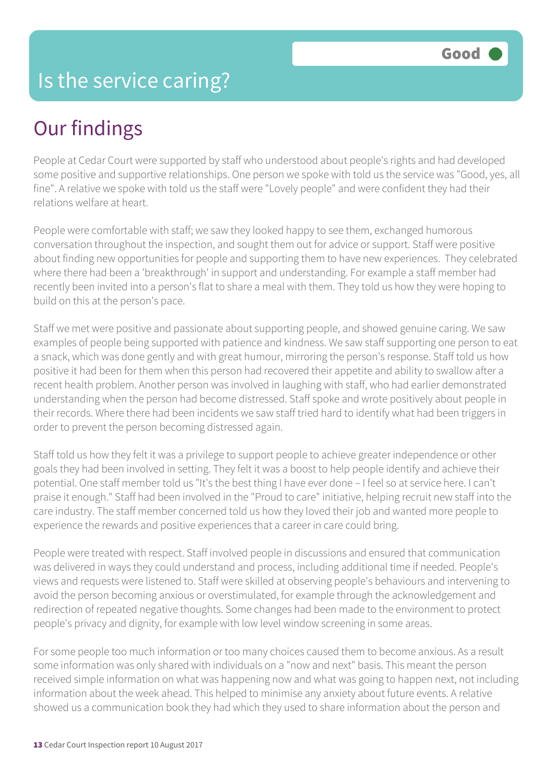People at Cedar Court were supported by staff who understood about people's rights and had developed some positive and supportive relationships. One person we spoke with told us the service was "Good, yes, all fine". A relative we spoke with told us the staff were "Lovely people" and were confident they had their relations welfare at heart.

People were comfortable with staff; we saw they looked happy to see them, exchanged humorous conversation throughout the inspection, and sought them out for advice or support. Staff were positive about finding new opportunities for people and supporting them to have new experiences. They celebrated where there had been a 'breakthrough' in support and understanding. For example a staff member had recently been invited into a person's flat to share a meal with them. They told us how they were hoping to build on this at the person's pace.

Staff we met were positive and passionate about supporting people, and showed genuine caring. We saw examples of people being supported with patience and kindness. We saw staff supporting one person to eat a snack, which was done gently and with great humour, mirroring the person's response. Staff told us how positive it had been for them when this person had recovered their appetite and ability to swallow after a recent health problem. Another person was involved in laughing with staff, who had earlier demonstrated understanding when the person had become distressed. Staff spoke and wrote positively about people in their records. Where there had been incidents we saw staff tried hard to identify what had been triggers in order to prevent the person becoming distressed again.

Staff told us how they felt it was a privilege to support people to achieve greater independence or other goals they had been involved in setting. They felt it was a boost to help people identify and achieve their potential. One staff member told us "It's the best thing I have ever done – I feel so at service here. I can't praise it enough." Staff had been involved in the "Proud to care" initiative, helping recruit new staff into the care industry. The staff member concerned told us how they loved their job and wanted more people to experience the rewards and positive experiences that a career in care could bring.

People were treated with respect. Staff involved people in discussions and ensured that communication was delivered in ways they could understand and process, including additional time if needed. People's views and requests were listened to. Staff were skilled at observing people's behaviours and intervening to avoid the person becoming anxious or overstimulated, for example through the acknowledgement and redirection of repeated negative thoughts. Some changes had been made to the environment to protect people's privacy and dignity, for example with low level window screening in some areas.

For some people too much information or too many choices caused them to become anxious. As a result some information was only shared with individuals on a "now and next" basis. This meant the person received simple information on what was happening now and what was going to happen next, not including information about the week ahead. This helped to minimise any anxiety about future events. A relative showed us a communication book they had which they used to share information about the person and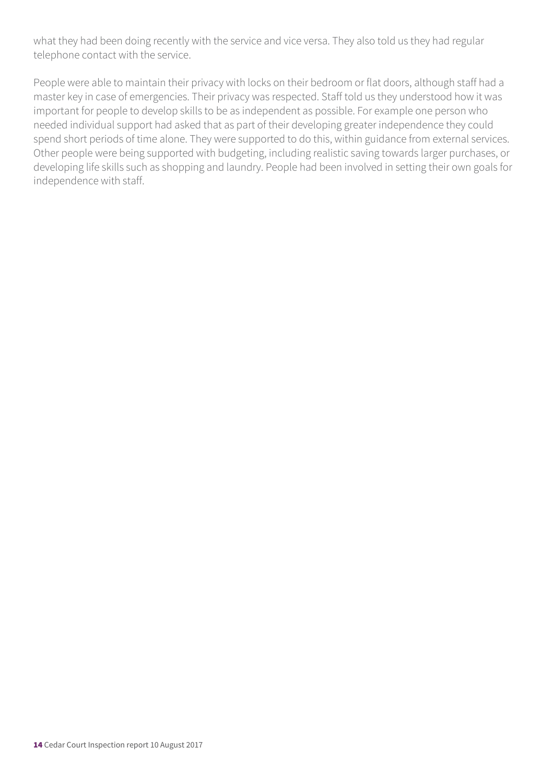what they had been doing recently with the service and vice versa. They also told us they had regular telephone contact with the service.

People were able to maintain their privacy with locks on their bedroom or flat doors, although staff had a master key in case of emergencies. Their privacy was respected. Staff told us they understood how it was important for people to develop skills to be as independent as possible. For example one person who needed individual support had asked that as part of their developing greater independence they could spend short periods of time alone. They were supported to do this, within guidance from external services. Other people were being supported with budgeting, including realistic saving towards larger purchases, or developing life skills such as shopping and laundry. People had been involved in setting their own goals for independence with staff.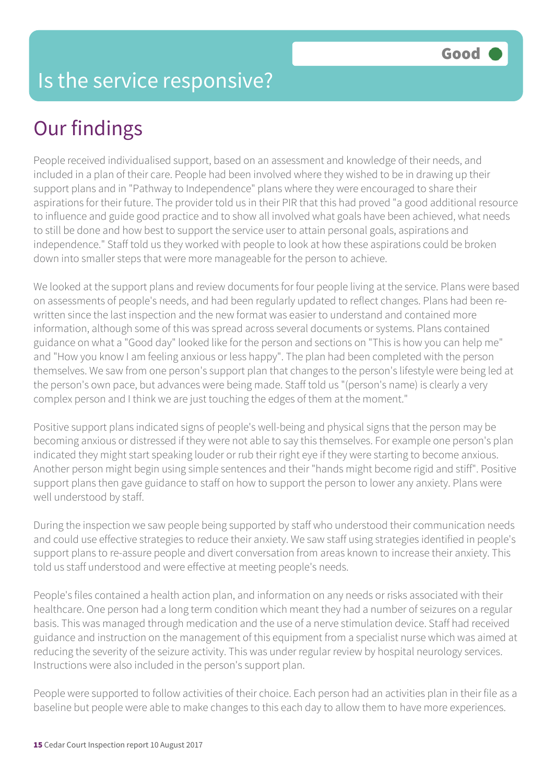People received individualised support, based on an assessment and knowledge of their needs, and included in a plan of their care. People had been involved where they wished to be in drawing up their support plans and in "Pathway to Independence" plans where they were encouraged to share their aspirations for their future. The provider told us in their PIR that this had proved "a good additional resource to influence and guide good practice and to show all involved what goals have been achieved, what needs to still be done and how best to support the service user to attain personal goals, aspirations and independence." Staff told us they worked with people to look at how these aspirations could be broken down into smaller steps that were more manageable for the person to achieve.

We looked at the support plans and review documents for four people living at the service. Plans were based on assessments of people's needs, and had been regularly updated to reflect changes. Plans had been rewritten since the last inspection and the new format was easier to understand and contained more information, although some of this was spread across several documents or systems. Plans contained guidance on what a "Good day" looked like for the person and sections on "This is how you can help me" and "How you know I am feeling anxious or less happy". The plan had been completed with the person themselves. We saw from one person's support plan that changes to the person's lifestyle were being led at the person's own pace, but advances were being made. Staff told us "(person's name) is clearly a very complex person and I think we are just touching the edges of them at the moment."

Positive support plans indicated signs of people's well-being and physical signs that the person may be becoming anxious or distressed if they were not able to say this themselves. For example one person's plan indicated they might start speaking louder or rub their right eye if they were starting to become anxious. Another person might begin using simple sentences and their "hands might become rigid and stiff". Positive support plans then gave guidance to staff on how to support the person to lower any anxiety. Plans were well understood by staff.

During the inspection we saw people being supported by staff who understood their communication needs and could use effective strategies to reduce their anxiety. We saw staff using strategies identified in people's support plans to re-assure people and divert conversation from areas known to increase their anxiety. This told us staff understood and were effective at meeting people's needs.

People's files contained a health action plan, and information on any needs or risks associated with their healthcare. One person had a long term condition which meant they had a number of seizures on a regular basis. This was managed through medication and the use of a nerve stimulation device. Staff had received guidance and instruction on the management of this equipment from a specialist nurse which was aimed at reducing the severity of the seizure activity. This was under regular review by hospital neurology services. Instructions were also included in the person's support plan.

People were supported to follow activities of their choice. Each person had an activities plan in their file as a baseline but people were able to make changes to this each day to allow them to have more experiences.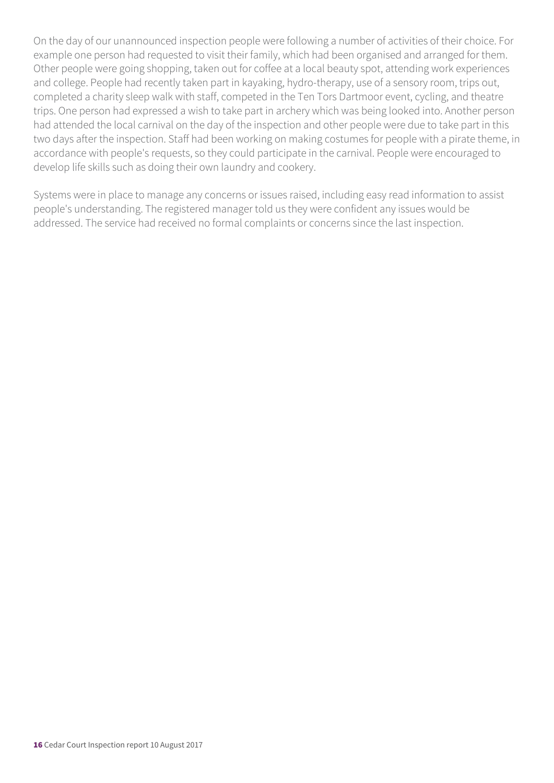On the day of our unannounced inspection people were following a number of activities of their choice. For example one person had requested to visit their family, which had been organised and arranged for them. Other people were going shopping, taken out for coffee at a local beauty spot, attending work experiences and college. People had recently taken part in kayaking, hydro-therapy, use of a sensory room, trips out, completed a charity sleep walk with staff, competed in the Ten Tors Dartmoor event, cycling, and theatre trips. One person had expressed a wish to take part in archery which was being looked into. Another person had attended the local carnival on the day of the inspection and other people were due to take part in this two days after the inspection. Staff had been working on making costumes for people with a pirate theme, in accordance with people's requests, so they could participate in the carnival. People were encouraged to develop life skills such as doing their own laundry and cookery.

Systems were in place to manage any concerns or issues raised, including easy read information to assist people's understanding. The registered manager told us they were confident any issues would be addressed. The service had received no formal complaints or concerns since the last inspection.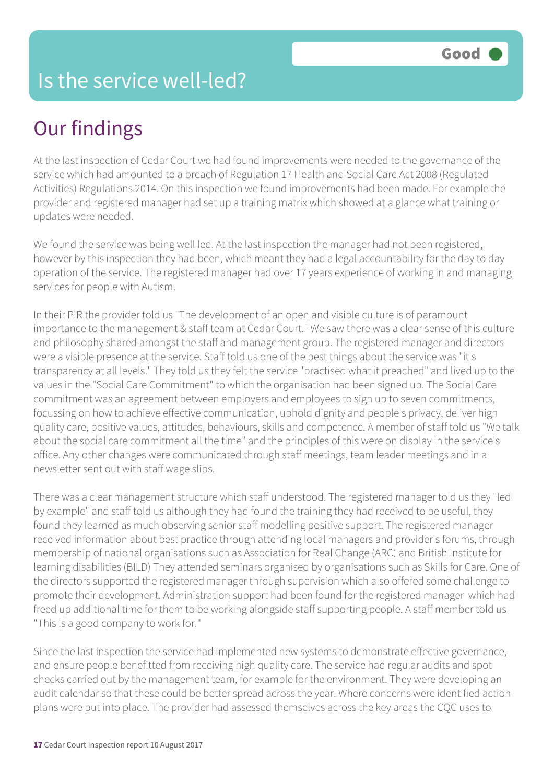### Is the service well-led?

## Our findings

At the last inspection of Cedar Court we had found improvements were needed to the governance of the service which had amounted to a breach of Regulation 17 Health and Social Care Act 2008 (Regulated Activities) Regulations 2014. On this inspection we found improvements had been made. For example the provider and registered manager had set up a training matrix which showed at a glance what training or updates were needed.

We found the service was being well led. At the last inspection the manager had not been registered, however by this inspection they had been, which meant they had a legal accountability for the day to day operation of the service. The registered manager had over 17 years experience of working in and managing services for people with Autism.

In their PIR the provider told us "The development of an open and visible culture is of paramount importance to the management & staff team at Cedar Court." We saw there was a clear sense of this culture and philosophy shared amongst the staff and management group. The registered manager and directors were a visible presence at the service. Staff told us one of the best things about the service was "it's transparency at all levels." They told us they felt the service "practised what it preached" and lived up to the values in the "Social Care Commitment" to which the organisation had been signed up. The Social Care commitment was an agreement between employers and employees to sign up to seven commitments, focussing on how to achieve effective communication, uphold dignity and people's privacy, deliver high quality care, positive values, attitudes, behaviours, skills and competence. A member of staff told us "We talk about the social care commitment all the time" and the principles of this were on display in the service's office. Any other changes were communicated through staff meetings, team leader meetings and in a newsletter sent out with staff wage slips.

There was a clear management structure which staff understood. The registered manager told us they "led by example" and staff told us although they had found the training they had received to be useful, they found they learned as much observing senior staff modelling positive support. The registered manager received information about best practice through attending local managers and provider's forums, through membership of national organisations such as Association for Real Change (ARC) and British Institute for learning disabilities (BILD) They attended seminars organised by organisations such as Skills for Care. One of the directors supported the registered manager through supervision which also offered some challenge to promote their development. Administration support had been found for the registered manager which had freed up additional time for them to be working alongside staff supporting people. A staff member told us "This is a good company to work for."

Since the last inspection the service had implemented new systems to demonstrate effective governance, and ensure people benefitted from receiving high quality care. The service had regular audits and spot checks carried out by the management team, for example for the environment. They were developing an audit calendar so that these could be better spread across the year. Where concerns were identified action plans were put into place. The provider had assessed themselves across the key areas the CQC uses to